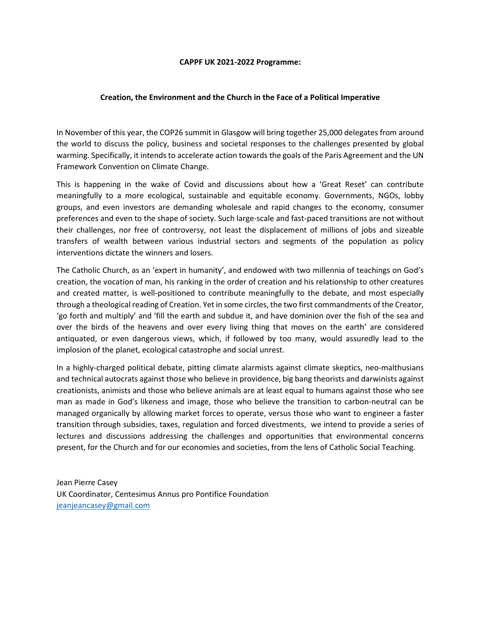#### CAPPF UK 2021-2022 Programme:

# Creation, the Environment and the Church in the Face of a Political Imperative

In November of this year, the COP26 summit in Glasgow will bring together 25,000 delegates from around the world to discuss the policy, business and societal responses to the challenges presented by global warming. Specifically, it intends to accelerate action towards the goals of the Paris Agreement and the UN Framework Convention on Climate Change.

This is happening in the wake of Covid and discussions about how a 'Great Reset' can contribute meaningfully to a more ecological, sustainable and equitable economy. Governments, NGOs, lobby groups, and even investors are demanding wholesale and rapid changes to the economy, consumer preferences and even to the shape of society. Such large-scale and fast-paced transitions are not without their challenges, nor free of controversy, not least the displacement of millions of jobs and sizeable transfers of wealth between various industrial sectors and segments of the population as policy interventions dictate the winners and losers.

The Catholic Church, as an 'expert in humanity', and endowed with two millennia of teachings on God's creation, the vocation of man, his ranking in the order of creation and his relationship to other creatures and created matter, is well-positioned to contribute meaningfully to the debate, and most especially through a theological reading of Creation. Yet in some circles, the two first commandments of the Creator, 'go forth and multiply' and 'fill the earth and subdue it, and have dominion over the fish of the sea and over the birds of the heavens and over every living thing that moves on the earth' are considered antiquated, or even dangerous views, which, if followed by too many, would assuredly lead to the implosion of the planet, ecological catastrophe and social unrest.

In a highly-charged political debate, pitting climate alarmists against climate skeptics, neo-malthusians and technical autocrats against those who believe in providence, big bang theorists and darwinists against creationists, animists and those who believe animals are at least equal to humans against those who see man as made in God's likeness and image, those who believe the transition to carbon-neutral can be managed organically by allowing market forces to operate, versus those who want to engineer a faster transition through subsidies, taxes, regulation and forced divestments, we intend to provide a series of lectures and discussions addressing the challenges and opportunities that environmental concerns present, for the Church and for our economies and societies, from the lens of Catholic Social Teaching.

Jean Pierre Casey UK Coordinator, Centesimus Annus pro Pontifice Foundation jeanjeancasey@gmail.com